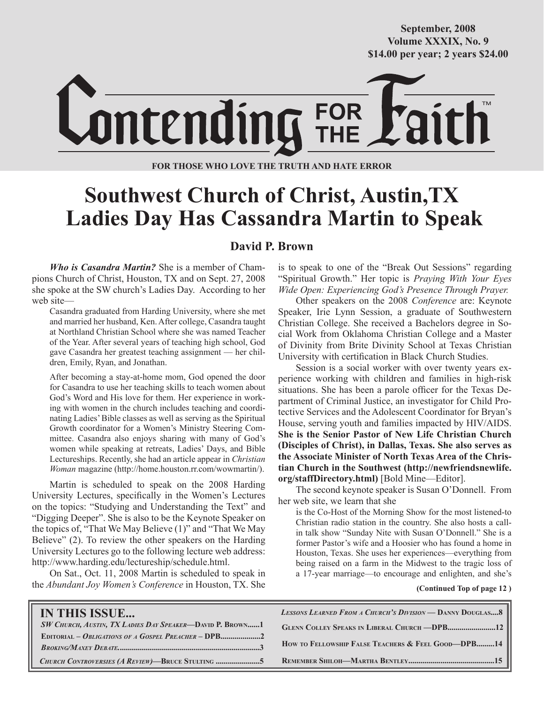**October/2007 Volume XXXIX, No. 9 Volume XXXVIII, No. 10 \$14.00 per year; 2 years \$24.00 \$14.00 per year; 2 years \$24.00 September, 2008**



**FOR THOSE WHO LOVE THE TRUTH AND HATE ERROR**

# **Southwest Church of Christ, Austin,TX Ladies Day Has Cassandra Martin to Speak**

### **David P. Brown**

*Who is Casandra Martin?* She is a member of Champions Church of Christ, Houston, TX and on Sept. 27, 2008 she spoke at the SW church's Ladies Day. According to her web site—

Casandra graduated from Harding University, where she met and married her husband, Ken. After college, Casandra taught at Northland Christian School where she was named Teacher of the Year. After several years of teaching high school, God gave Casandra her greatest teaching assignment — her children, Emily, Ryan, and Jonathan.

After becoming a stay-at-home mom, God opened the door for Casandra to use her teaching skills to teach women about God's Word and His love for them. Her experience in working with women in the church includes teaching and coordinating Ladies' Bible classes as well as serving as the Spiritual Growth coordinator for a Women's Ministry Steering Committee. Casandra also enjoys sharing with many of God's women while speaking at retreats, Ladies' Days, and Bible Lectureships. Recently, she had an article appear in *Christian Woman* magazine (http://home.houston.rr.com/wowmartin/).

Martin is scheduled to speak on the 2008 Harding University Lectures, specifically in the Women's Lectures on the topics: "Studying and Understanding the Text" and "Digging Deeper". She is also to be the Keynote Speaker on the topics of, "That We May Believe (1)" and "That We May Believe" (2). To review the other speakers on the Harding University Lectures go to the following lecture web address: http://www.harding.edu/lectureship/schedule.html.

On Sat., Oct. 11, 2008 Martin is scheduled to speak in the *Abundant Joy Women's Conference* in Houston, TX. She is to speak to one of the "Break Out Sessions" regarding "Spiritual Growth." Her topic is *Praying With Your Eyes Wide Open: Experiencing God's Presence Through Prayer.*

Other speakers on the 2008 *Conference* are: Keynote Speaker, Irie Lynn Session, a graduate of Southwestern Christian College. She received a Bachelors degree in Social Work from Oklahoma Christian College and a Master of Divinity from Brite Divinity School at Texas Christian University with certification in Black Church Studies.

Session is a social worker with over twenty years experience working with children and families in high-risk situations. She has been a parole officer for the Texas Department of Criminal Justice, an investigator for Child Protective Services and the Adolescent Coordinator for Bryan's House, serving youth and families impacted by HIV/AIDS. **She is the Senior Pastor of New Life Christian Church (Disciples of Christ), in Dallas, Texas. She also serves as the Associate Minister of North Texas Area of the Christian Church in the Southwest (http://newfriendsnewlife. org/staffDirectory.html)** [Bold Mine—Editor].

The second keynote speaker is Susan O'Donnell. From her web site, we learn that she

is the Co-Host of the Morning Show for the most listened-to Christian radio station in the country. She also hosts a callin talk show "Sunday Nite with Susan O'Donnell." She is a former Pastor's wife and a Hoosier who has found a home in Houston, Texas. She uses her experiences—everything from being raised on a farm in the Midwest to the tragic loss of a 17-year marriage—to encourage and enlighten, and she's

#### **(Continued Top of page 12 )**

| <b>IN THIS ISSUE</b>                                            | <b>LESSONS LEARNED FROM A CHURCH'S DIVISION — DANNY DOUGLAS8</b> |
|-----------------------------------------------------------------|------------------------------------------------------------------|
| <b>SW CHURCH, AUSTIN, TX LADIES DAY SPEAKER-DAVID P. BROWN1</b> | <b>GLENN COLLEY SPEAKS IN LIBERAL CHURCH - DPB 12</b>            |
|                                                                 | HOW TO FELLOWSHIP FALSE TEACHERS & FEEL GOOD-DPB14               |
|                                                                 |                                                                  |
| CHURCH CONTROVERSIES (A REVIEW)-BRUCE STULTING 5                |                                                                  |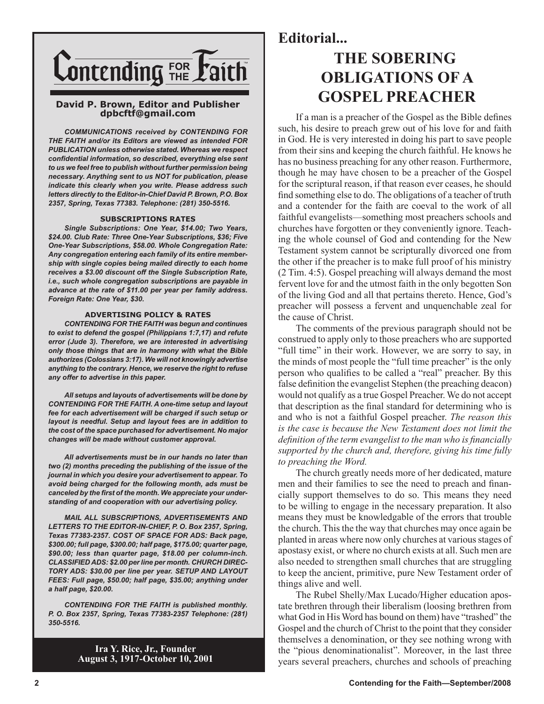

#### **David P. Brown, Editor and Publisher dpbcftf@gmail.com**

*COMMUNICATIONS received by CONTENDING FOR THE FAITH and/or its Editors are viewed as intended FOR PUBLICATION unless otherwise stated. Whereas we respect confidential information, so described, everything else sent to us we feel free to publish without further permission being necessary. Anything sent to us NOT for publication, please indicate this clearly when you write. Please address such letters directly to the Editor-in-Chief David P. Brown, P.O. Box 2357, Spring, Texas 77383. Telephone: (281) 350-5516.*

#### **SUBSCRIPTIONS RATES**

*Single Subscriptions: One Year, \$14.00; Two Years, \$24.00. Club Rate: Three One-Year Subscriptions, \$36; Five One-Year Subscriptions, \$58.00. Whole Congregation Rate: Any congregation entering each family of its entire membership with single copies being mailed directly to each home receives a \$3.00 discount off the Single Subscription Rate, i.e., such whole congregation subscriptions are payable in advance at the rate of \$11.00 per year per family address. Foreign Rate: One Year, \$30.*

#### **ADVERTISING POLICY & RATES**

*CONTENDING FOR THE FAITH was begun and continues to exist to defend the gospel (Philippians 1:7,17) and refute error (Jude 3). Therefore, we are interested in advertising only those things that are in harmony with what the Bible authorizes (Colossians 3:17). We will not knowingly advertise anything to the contrary. Hence, we reserve the right to refuse any offer to advertise in this paper.*

*All setups and layouts of advertisements will be done by CONTENDING FOR THE FAITH. A one-time setup and layout fee for each advertisement will be charged if such setup or layout is needful. Setup and layout fees are in addition to the cost of the space purchased for advertisement. No major changes will be made without customer approval.*

*All advertisements must be in our hands no later than two (2) months preceding the publishing of the issue of the journal in which you desire your advertisement to appear. To avoid being charged for the following month, ads must be canceled by the first of the month. We appreciate your understanding of and cooperation with our advertising policy.*

*MAIL ALL SUBSCRIPTIONS, ADVERTISEMENTS AND LETTERS TO THE EDITOR-IN-CHIEF, P. O. Box 2357, Spring, Texas 77383-2357. COST OF SPACE FOR ADS: Back page, \$300.00; full page, \$300.00; half page, \$175.00; quarter page, \$90.00; less than quarter page, \$18.00 per column-inch. CLASSIFIED ADS: \$2.00 per line per month. CHURCH DIREC-TORY ADS: \$30.00 per line per year. SETUP AND LAYOUT FEES: Full page, \$50.00; half page, \$35.00; anything under a half page, \$20.00.*

*CONTENDING FOR THE FAITH is published monthly. P. O. Box 2357, Spring, Texas 77383-2357 Telephone: (281) 350-5516.*

> **Ira Y. Rice, Jr., Founder August 3, 1917-October 10, 2001**

## **Editorial...**

# **THE SOBERING OBLIGATIONS OF A GOSPEL PREACHER**

If a man is a preacher of the Gospel as the Bible defines such, his desire to preach grew out of his love for and faith in God. He is very interested in doing his part to save people from their sins and keeping the church faithful. He knows he has no business preaching for any other reason. Furthermore, though he may have chosen to be a preacher of the Gospel for the scriptural reason, if that reason ever ceases, he should find something else to do. The obligations of a teacher of truth and a contender for the faith are coeval to the work of all faithful evangelists—something most preachers schools and churches have forgotten or they conveniently ignore. Teaching the whole counsel of God and contending for the New Testament system cannot be scripturally divorced one from the other if the preacher is to make full proof of his ministry (2 Tim. 4:5). Gospel preaching will always demand the most fervent love for and the utmost faith in the only begotten Son of the living God and all that pertains thereto. Hence, God's preacher will possess a fervent and unquenchable zeal for the cause of Christ.

The comments of the previous paragraph should not be construed to apply only to those preachers who are supported "full time" in their work. However, we are sorry to say, in the minds of most people the "full time preacher" is the only person who qualifies to be called a "real" preacher. By this false definition the evangelist Stephen (the preaching deacon) would not qualify as a true Gospel Preacher. We do not accept that description as the final standard for determining who is and who is not a faithful Gospel preacher. *The reason this is the case is because the New Testament does not limit the definition of the term evangelist to the man who is financially supported by the church and, therefore, giving his time fully to preaching the Word.*

The church greatly needs more of her dedicated, mature men and their families to see the need to preach and financially support themselves to do so. This means they need to be willing to engage in the necessary preparation. It also means they must be knowledgable of the errors that trouble the church. This the the way that churches may once again be planted in areas where now only churches at various stages of apostasy exist, or where no church exists at all. Such men are also needed to strengthen small churches that are struggling to keep the ancient, primitive, pure New Testament order of things alive and well.

The Rubel Shelly/Max Lucado/Higher education apostate brethren through their liberalism (loosing brethren from what God in His Word has bound on them) have "trashed" the Gospel and the church of Christ to the point that they consider themselves a denomination, or they see nothing wrong with the "pious denominationalist". Moreover, in the last three years several preachers, churches and schools of preaching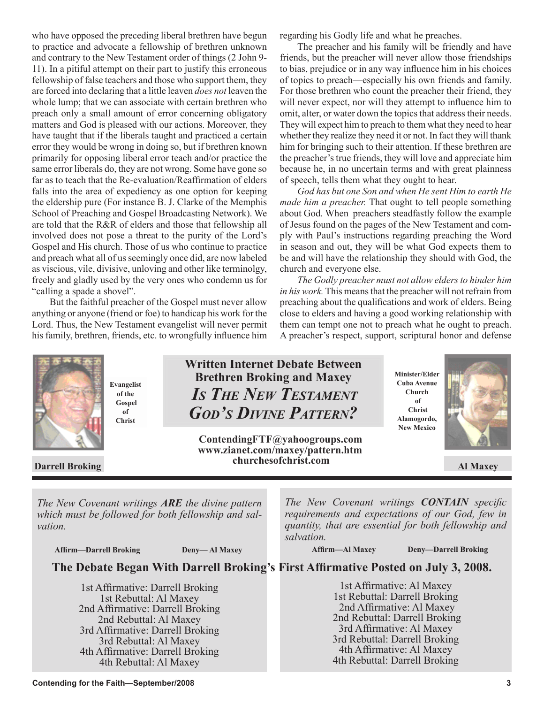who have opposed the preceding liberal brethren have begun to practice and advocate a fellowship of brethren unknown and contrary to the New Testament order of things (2 John 9- 11). In a pitiful attempt on their part to justify this erroneous fellowship of false teachers and those who support them, they are forced into declaring that a little leaven *does not* leaven the whole lump; that we can associate with certain brethren who preach only a small amount of error concerning obligatory matters and God is pleased with our actions. Moreover, they have taught that if the liberals taught and practiced a certain error they would be wrong in doing so, but if brethren known primarily for opposing liberal error teach and/or practice the same error liberals do, they are not wrong. Some have gone so far as to teach that the Re-evaluation/Reaffirmation of elders falls into the area of expediency as one option for keeping the eldership pure (For instance B. J. Clarke of the Memphis School of Preaching and Gospel Broadcasting Network). We are told that the R&R of elders and those that fellowship all involved does not pose a threat to the purity of the Lord's Gospel and His church. Those of us who continue to practice and preach what all of us seemingly once did, are now labeled as viscious, vile, divisive, unloving and other like terminolgy, freely and gladly used by the very ones who condemn us for "calling a spade a shovel".

But the faithful preacher of the Gospel must never allow anything or anyone (friend or foe) to handicap his work for the Lord. Thus, the New Testament evangelist will never permit his family, brethren, friends, etc. to wrongfully influence him regarding his Godly life and what he preaches.

The preacher and his family will be friendly and have friends, but the preacher will never allow those friendships to bias, prejudice or in any way influence him in his choices of topics to preach—especially his own friends and family. For those brethren who count the preacher their friend, they will never expect, nor will they attempt to influence him to omit, alter, or water down the topics that address their needs. They will expect him to preach to them what they need to hear whether they realize they need it or not. In fact they will thank him for bringing such to their attention. If these brethren are the preacher's true friends, they will love and appreciate him because he, in no uncertain terms and with great plainness of speech, tells them what they ought to hear.

*God has but one Son and when He sent Him to earth He made him a preacher.* That ought to tell people something about God. When preachers steadfastly follow the example of Jesus found on the pages of the New Testament and comply with Paul's instructions regarding preaching the Word in season and out, they will be what God expects them to be and will have the relationship they should with God, the church and everyone else.

*The Godly preacher must not allow elders to hinder him in his work.* This means that the preacher will not refrain from preaching about the qualifications and work of elders. Being close to elders and having a good working relationship with them can tempt one not to preach what he ought to preach. A preacher's respect, support, scriptural honor and defense



**Evangelist of the Gospel of Christ**

**Written Internet Debate Between Brethren Broking and Maxey**  *IS THE NEW TESTAMENT GOD'S DIVINE PATTERN?*

 **Darrell Broking and Al Maxey Churchesoft ist, compared to the Al Maxey Al Maxey ContendingFTF@yahoogroups.com www.zianet.com/maxey/pattern.htm churchesofchrist.com**

**Minister/Elder Cuba Avenue Church of Christ Alamogordo, New Mexico**



*The New Covenant writings ARE the divine pattern which must be followed for both fellowship and salvation.*

 **Affirm—Darrell Broking Deny— Al Maxey**

*The New Covenant writings CONTAIN specific requirements and expectations of our God, few in quantity, that are essential for both fellowship and salvation.*

 **Affirm—Al Maxey Deny—Darrell Broking**

**The Debate Began With Darrell Broking's First Affirmative Posted on July 3, 2008.** 

1st Affirmative: Darrell Broking 1st Rebuttal: Al Maxey 2nd Affirmative: Darrell Broking 2nd Rebuttal: Al Maxey 3rd Affirmative: Darrell Broking 3rd Rebuttal: Al Maxey 4th Affirmative: Darrell Broking 4th Rebuttal: Al Maxey

1st Affirmative: Al Maxey 1st Rebuttal: Darrell Broking 2nd Affirmative: Al Maxey 2nd Rebuttal: Darrell Broking 3rd Affirmative: Al Maxey 3rd Rebuttal: Darrell Broking

4th Affirmative: Al Maxey 4th Rebuttal: Darrell Broking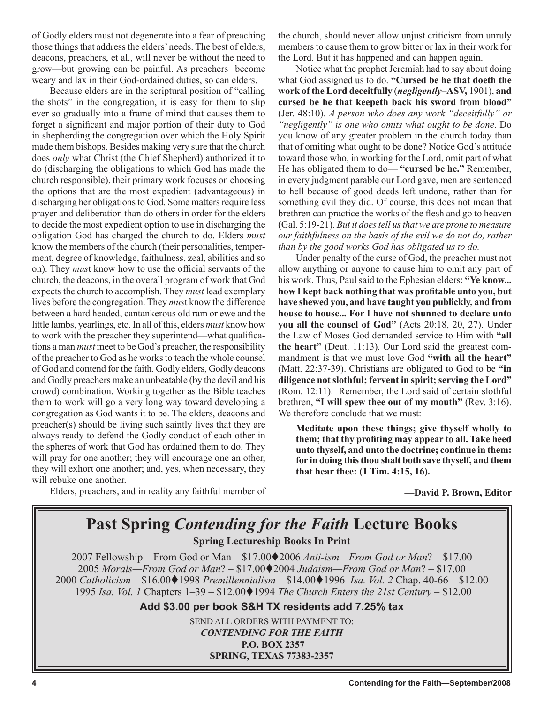of Godly elders must not degenerate into a fear of preaching those things that address the elders' needs. The best of elders, deacons, preachers, et al., will never be without the need to grow—but growing can be painful. As preachers become weary and lax in their God-ordained duties, so can elders.

Because elders are in the scriptural position of "calling the shots" in the congregation, it is easy for them to slip ever so gradually into a frame of mind that causes them to forget a significant and major portion of their duty to God in shepherding the congregation over which the Holy Spirit made them bishops. Besides making very sure that the church does *only* what Christ (the Chief Shepherd) authorized it to do (discharging the obligations to which God has made the church responsible), their primary work focuses on choosing the options that are the most expedient (advantageous) in discharging her obligations to God. Some matters require less prayer and deliberation than do others in order for the elders to decide the most expedient option to use in discharging the obligation God has charged the church to do. Elders *must*  know the members of the church (their personalities, temperment, degree of knowledge, faithulness, zeal, abilities and so on). They *mus*t know how to use the official servants of the church, the deacons, in the overall program of work that God expects the church to accomplish. They *must* lead exemplary lives before the congregation. They *mus*t know the difference between a hard headed, cantankerous old ram or ewe and the little lambs, yearlings, etc. In all of this, elders *must* know how to work with the preacher they superintend—what qualifications a man *must* meet to be God's preacher, the responsibility of the preacher to God as he works to teach the whole counsel of God and contend for the faith. Godly elders, Godly deacons and Godly preachers make an unbeatable (by the devil and his crowd) combination. Working together as the Bible teaches them to work will go a very long way toward developing a congregation as God wants it to be. The elders, deacons and preacher(s) should be living such saintly lives that they are always ready to defend the Godly conduct of each other in the spheres of work that God has ordained them to do. They will pray for one another; they will encourage one an other, they will exhort one another; and, yes, when necessary, they will rebuke one another.

Elders, preachers, and in reality any faithful member of

the church, should never allow unjust criticism from unruly members to cause them to grow bitter or lax in their work for the Lord. But it has happened and can happen again.

Notice what the prophet Jeremiah had to say about doing what God assigned us to do. **"Cursed be he that doeth the work of the Lord deceitfully** (*negligently***–ASV,** 1901), **and cursed be he that keepeth back his sword from blood"** (Jer. 48:10). *A person who does any work "deceitfully" or "negligently" is one who omits what ought to be done*. Do you know of any greater problem in the church today than that of omiting what ought to be done? Notice God's attitude toward those who, in working for the Lord, omit part of what He has obligated them to do— **"cursed be he."** Remember, in every judgment parable our Lord gave, men are sentenced to hell because of good deeds left undone, rather than for something evil they did. Of course, this does not mean that brethren can practice the works of the flesh and go to heaven (Gal. 5:19-21). *But it does tell us that we are prone to measure our faithfulness on the basis of the evil we do not do, rather than by the good works God has obligated us to do.*

Under penalty of the curse of God, the preacher must not allow anything or anyone to cause him to omit any part of his work. Thus, Paul said to the Ephesian elders: **"Ye know... how I kept back nothing that was profitable unto you, but have shewed you, and have taught you publickly, and from house to house... For I have not shunned to declare unto you all the counsel of God"** (Acts 20:18, 20, 27). Under the Law of Moses God demanded service to Him with **"all the heart"** (Deut. 11:13). Our Lord said the greatest commandment is that we must love God **"with all the heart"** (Matt. 22:37-39). Christians are obligated to God to be **"in diligence not slothful; fervent in spirit; serving the Lord"** (Rom. 12:11). Remember, the Lord said of certain slothful brethren, **"I will spew thee out of my mouth"** (Rev. 3:16). We therefore conclude that we must:

**Meditate upon these things; give thyself wholly to them; that thy profiting may appear to all. Take heed unto thyself, and unto the doctrine; continue in them: for in doing this thou shalt both save thyself, and them that hear thee: (1 Tim. 4:15, 16).** 

**—David P. Brown, Editor**

# **Past Spring** *Contending for the Faith* **Lecture Books Spring Lectureship Books In Print**

2007 Fellowship—From God or Man – \$17.002006 *Anti-ism—From God or Man*? – \$17.00 *Morals—From God or Man*? – \$17.002004 *Judaism—From God or Man*? – \$17.00 *Catholicism –* \$16.001998 *Premillennialism –* \$14.001996 *Isa. Vol. 2* Chap. 40-66 – \$12.00 *Isa. Vol. 1* Chapters  $1-39 - $12.00 \bigodot 1994$  *The Church Enters the 21st Century* – \$12.00

**Add \$3.00 per book S&H TX residents add 7.25% tax**

SEND ALL ORDERS WITH PAYMENT TO: *CONTENDING FOR THE FAITH* **P.O. BOX 2357 SPRING, TEXAS 77383-2357**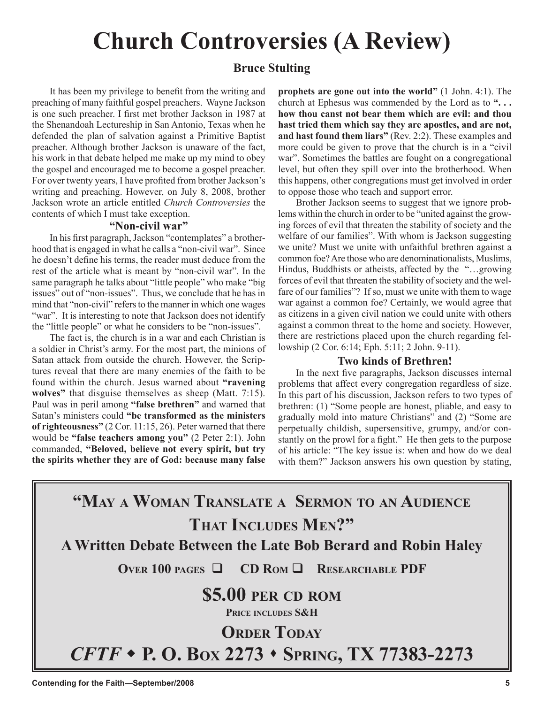# **Church Controversies (A Review)**

## **Bruce Stulting**

It has been my privilege to benefit from the writing and preaching of many faithful gospel preachers. Wayne Jackson is one such preacher. I first met brother Jackson in 1987 at the Shenandoah Lectureship in San Antonio, Texas when he defended the plan of salvation against a Primitive Baptist preacher. Although brother Jackson is unaware of the fact, his work in that debate helped me make up my mind to obey the gospel and encouraged me to become a gospel preacher. For over twenty years, I have profited from brother Jackson's writing and preaching. However, on July 8, 2008, brother Jackson wrote an article entitled *Church Controversies* the contents of which I must take exception.

#### **"Non-civil war"**

In his first paragraph, Jackson "contemplates" a brotherhood that is engaged in what he calls a "non-civil war". Since he doesn't define his terms, the reader must deduce from the rest of the article what is meant by "non-civil war". In the same paragraph he talks about "little people" who make "big issues" out of "non-issues". Thus, we conclude that he has in mind that "non-civil" refers to the manner in which one wages "war". It is interesting to note that Jackson does not identify the "little people" or what he considers to be "non-issues".

The fact is, the church is in a war and each Christian is a soldier in Christ's army. For the most part, the minions of Satan attack from outside the church. However, the Scriptures reveal that there are many enemies of the faith to be found within the church. Jesus warned about **"ravening wolves"** that disguise themselves as sheep (Matt. 7:15). Paul was in peril among **"false brethren"** and warned that Satan's ministers could **"be transformed as the ministers of righteousness"** (2 Cor. 11:15, 26). Peter warned that there would be **"false teachers among you"** (2 Peter 2:1). John commanded, **"Beloved, believe not every spirit, but try the spirits whether they are of God: because many false**  **prophets are gone out into the world"** (1 John. 4:1). The church at Ephesus was commended by the Lord as to **". . . how thou canst not bear them which are evil: and thou hast tried them which say they are apostles, and are not, and hast found them liars"** (Rev. 2:2). These examples and more could be given to prove that the church is in a "civil war". Sometimes the battles are fought on a congregational level, but often they spill over into the brotherhood. When this happens, other congregations must get involved in order to oppose those who teach and support error.

Brother Jackson seems to suggest that we ignore problems within the church in order to be "united against the growing forces of evil that threaten the stability of society and the welfare of our families". With whom is Jackson suggesting we unite? Must we unite with unfaithful brethren against a common foe? Are those who are denominationalists, Muslims, Hindus, Buddhists or atheists, affected by the "…growing forces of evil that threaten the stability of society and the welfare of our families"? If so, must we unite with them to wage war against a common foe? Certainly, we would agree that as citizens in a given civil nation we could unite with others against a common threat to the home and society. However, there are restrictions placed upon the church regarding fellowship (2 Cor. 6:14; Eph. 5:11; 2 John. 9-11).

### **Two kinds of Brethren!**

In the next five paragraphs, Jackson discusses internal problems that affect every congregation regardless of size. In this part of his discussion, Jackson refers to two types of brethren: (1) "Some people are honest, pliable, and easy to gradually mold into mature Christians" and (2) "Some are perpetually childish, supersensitive, grumpy, and/or constantly on the prowl for a fight." He then gets to the purpose of his article: "The key issue is: when and how do we deal with them?" Jackson answers his own question by stating,

**"MAY A WOMAN TRANSLATE A SERMON TO AN AUDIENCE THAT INCLUDES MEN?" A Written Debate Between the Late Bob Berard and Robin Haley OVER 100 PAGES**  $\Box$  **CD ROM**  $\Box$  **RESEARCHABLE PDF \$5.00 PER CD ROM PRICE INCLUDES S&H ORDER TODAY** *CFTF*  **P. O. BOX 2273 SPRING, TX 77383-2273**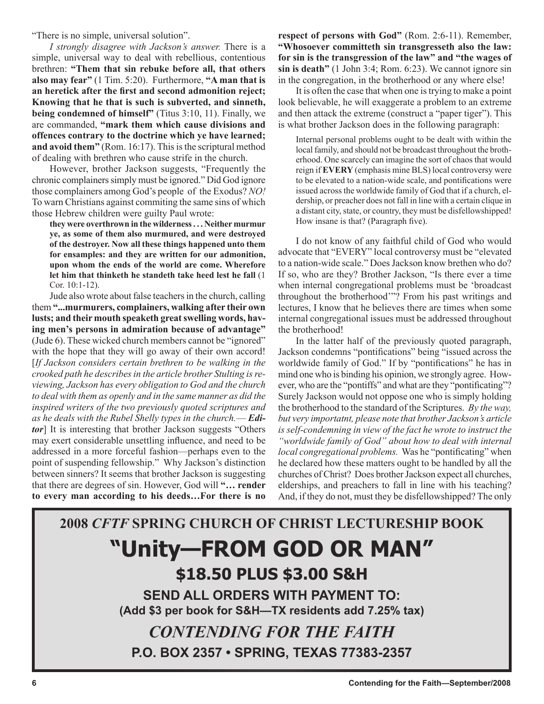"There is no simple, universal solution".

*I strongly disagree with Jackson's answer.* There is a simple, universal way to deal with rebellious, contentious brethren: **"Them that sin rebuke before all, that others also may fear"** (1 Tim. 5:20). Furthermore, **"A man that is an heretick after the first and second admonition reject; Knowing that he that is such is subverted, and sinneth, being condemned of himself"** (Titus 3:10, 11). Finally, we are commanded, **"mark them which cause divisions and offences contrary to the doctrine which ye have learned; and avoid them"** (Rom. 16:17). This is the scriptural method of dealing with brethren who cause strife in the church.

However, brother Jackson suggests, "Frequently the chronic complainers simply must be ignored." Did God ignore those complainers among God's people of the Exodus? *NO!* To warn Christians against commiting the same sins of which those Hebrew children were guilty Paul wrote:

**they were overthrown in the wilderness . . . Neither murmur ye, as some of them also murmured, and were destroyed of the destroyer. Now all these things happened unto them for ensamples: and they are written for our admonition, upon whom the ends of the world are come. Wherefore let him that thinketh he standeth take heed lest he fall** (1 Cor. 10:1-12).

Jude also wrote about false teachers in the church, calling them **"...murmurers, complainers, walking after their own lusts; and their mouth speaketh great swelling words, having men's persons in admiration because of advantage"**  (Jude 6). These wicked church members cannot be "ignored" with the hope that they will go away of their own accord! [*If Jackson considers certain brethren to be walking in the crooked path he describes in the article brother Stulting is reviewing, Jackson has every obligation to God and the church to deal with them as openly and in the same manner as did the inspired writers of the two previously quoted scriptures and as he deals with the Rubel Shelly types in the church.*— *Editor*] It is interesting that brother Jackson suggests "Others may exert considerable unsettling influence, and need to be addressed in a more forceful fashion—perhaps even to the point of suspending fellowship." Why Jackson's distinction between sinners? It seems that brother Jackson is suggesting that there are degrees of sin. However, God will **"… render to every man according to his deeds…For there is no** 

**respect of persons with God"** (Rom. 2:6-11). Remember, **"Whosoever committeth sin transgresseth also the law: for sin is the transgression of the law" and "the wages of sin is death"** (1 John 3:4; Rom. 6:23). We cannot ignore sin in the congregation, in the brotherhood or any where else!

It is often the case that when one is trying to make a point look believable, he will exaggerate a problem to an extreme and then attack the extreme (construct a "paper tiger"). This is what brother Jackson does in the following paragraph:

Internal personal problems ought to be dealt with within the local family, and should not be broadcast throughout the brotherhood. One scarcely can imagine the sort of chaos that would reign if **EVERY** (emphasis mine BLS) local controversy were to be elevated to a nation-wide scale, and pontifications were issued across the worldwide family of God that if a church, eldership, or preacher does not fall in line with a certain clique in a distant city, state, or country, they must be disfellowshipped! How insane is that? (Paragraph five).

I do not know of any faithful child of God who would advocate that "EVERY" local controversy must be "elevated to a nation-wide scale." Does Jackson know brethen who do? If so, who are they? Brother Jackson, "Is there ever a time when internal congregational problems must be 'broadcast throughout the brotherhood'"? From his past writings and lectures, I know that he believes there are times when some internal congregational issues must be addressed throughout the brotherhood!

In the latter half of the previously quoted paragraph, Jackson condemns "pontifications" being "issued across the worldwide family of God." If by "pontifications" he has in mind one who is binding his opinion, we strongly agree. However, who are the "pontiffs" and what are they "pontificating"? Surely Jackson would not oppose one who is simply holding the brotherhood to the standard of the Scriptures. *By the way, but very importatnt, please note that brother Jackson's article is self-condemning in view of the fact he wrote to instruct the "worldwide family of God" about how to deal with internal local congregational problems.* Was he "pontificating" when he declared how these matters ought to be handled by all the churches of Christ? Does brother Jackson expect all churches, elderships, and preachers to fall in line with his teaching? And, if they do not, must they be disfellowshipped? The only

# **2008** *CFTF* **SPRING CHURCH OF CHRIST LECTURESHIP BOOK "Unity—FROM GOD OR MAN" \$18.50 PLUS \$3.00 S&H SEND ALL ORDERS WITH PAYMENT TO: (Add \$3 per book for S&H—TX residents add 7.25% tax)** *CONTENDING FOR THE FAITH* **P.O. BOX 2357 • SPRING, TEXAS 77383-2357**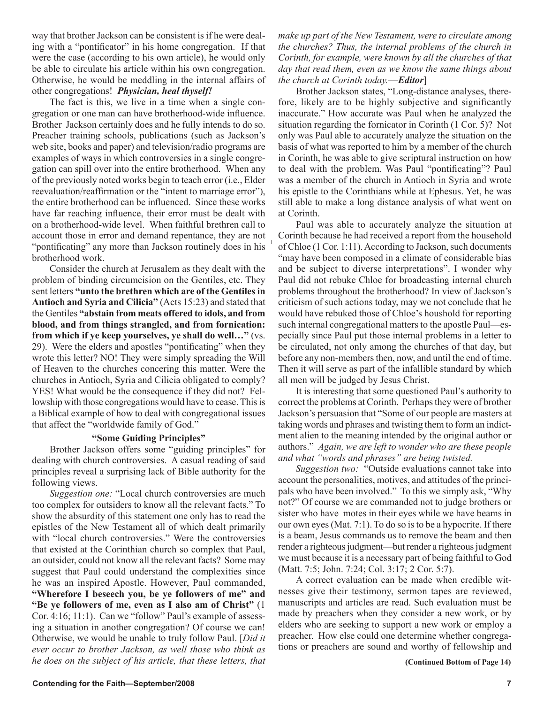way that brother Jackson can be consistent is if he were dealing with a "pontificator" in his home congregation. If that were the case (according to his own article), he would only be able to circulate his article within his own congregation. Otherwise, he would be meddling in the internal affairs of other congregations! *Physician, heal thyself!*

The fact is this, we live in a time when a single congregation or one man can have brotherhood-wide influence. Brother Jackson certainly does and he fully intends to do so. Preacher training schools, publications (such as Jackson's web site, books and paper) and television/radio programs are examples of ways in which controversies in a single congregation can spill over into the entire brotherhood. When any of the previously noted works begin to teach error (i.e., Elder reevaluation/reaffirmation or the "intent to marriage error"), the entire brotherhood can be influenced. Since these works have far reaching influence, their error must be dealt with on a brotherhood-wide level. When faithful brethren call to account those in error and demand repentance, they are not "pontificating" any more than Jackson routinely does in his brotherhood work.

Consider the church at Jerusalem as they dealt with the problem of binding circumcision on the Gentiles, etc. They sent letters **"unto the brethren which are of the Gentiles in Antioch and Syria and Cilicia"** (Acts 15:23) and stated that the Gentiles **"abstain from meats offered to idols, and from blood, and from things strangled, and from fornication: from which if ye keep yourselves, ye shall do well…"** (vs. 29). Were the elders and apostles "pontificating" when they wrote this letter? NO! They were simply spreading the Will of Heaven to the churches concering this matter. Were the churches in Antioch, Syria and Cilicia obligated to comply? YES! What would be the consequence if they did not? Fellowship with those congregations would have to cease. This is a Biblical example of how to deal with congregational issues that affect the "worldwide family of God."

#### **"Some Guiding Principles"**

Brother Jackson offers some "guiding principles" for dealing with church controversies. A casual reading of said principles reveal a surprising lack of Bible authority for the following views.

*Suggestion one:* "Local church controversies are much too complex for outsiders to know all the relevant facts." To show the absurdity of this statement one only has to read the epistles of the New Testament all of which dealt primarily with "local church controversies." Were the controversies that existed at the Corinthian church so complex that Paul, an outsider, could not know all the relevant facts? Some may suggest that Paul could understand the complexities since he was an inspired Apostle. However, Paul commanded, **"Wherefore I beseech you, be ye followers of me" and "Be ye followers of me, even as I also am of Christ"** (1 Cor. 4:16; 11:1). Can we "follow" Paul's example of assessing a situation in another congregation? Of course we can! Otherwise, we would be unable to truly follow Paul. [*Did it ever occur to brother Jackson, as well those who think as he does on the subject of his article, that these letters, that*  *make up part of the New Testament, were to circulate among the churches? Thus, the internal problems of the church in Corinth, for example, were known by all the churches of that day that read them, even as we know the same things about the church at Corinth today.*—*Editor*]

Brother Jackson states, "Long-distance analyses, therefore, likely are to be highly subjective and significantly inaccurate." How accurate was Paul when he analyzed the situation regarding the fornicator in Corinth (1 Cor. 5)? Not only was Paul able to accurately analyze the situation on the basis of what was reported to him by a member of the church in Corinth, he was able to give scriptural instruction on how to deal with the problem. Was Paul "pontificating"? Paul was a member of the church in Antioch in Syria and wrote his epistle to the Corinthians while at Ephesus. Yet, he was still able to make a long distance analysis of what went on at Corinth.

Paul was able to accurately analyze the situation at Corinth because he had received a report from the household of Chloe (1 Cor. 1:11). According to Jackson, such documents "may have been composed in a climate of considerable bias and be subject to diverse interpretations". I wonder why Paul did not rebuke Chloe for broadcasting internal church problems throughout the brotherhood? In view of Jackson's criticism of such actions today, may we not conclude that he would have rebuked those of Chloe's houshold for reporting such internal congregational matters to the apostle Paul—especially since Paul put those internal problems in a letter to be circulated, not only among the churches of that day, but before any non-members then, now, and until the end of time. Then it will serve as part of the infallible standard by which all men will be judged by Jesus Christ.

It is interesting that some questioned Paul's authority to correct the problems at Corinth. Perhaps they were of brother Jackson's persuasion that "Some of our people are masters at taking words and phrases and twisting them to form an indictment alien to the meaning intended by the original author or authors." *Again, we are left to wonder who are these people and what "words and phrases" are being twisted.*

*Suggestion two:* "Outside evaluations cannot take into account the personalities, motives, and attitudes of the principals who have been involved." To this we simply ask, "Why not?" Of course we are commanded not to judge brothers or sister who have motes in their eyes while we have beams in our own eyes (Mat. 7:1). To do so is to be a hypocrite. If there is a beam, Jesus commands us to remove the beam and then render a righteous judgment—but render a righteous judgment we must because it is a necessary part of being faithful to God (Matt. 7:5; John. 7:24; Col. 3:17; 2 Cor. 5:7).

A correct evaluation can be made when credible witnesses give their testimony, sermon tapes are reviewed, manuscripts and articles are read. Such evaluation must be made by preachers when they consider a new work, or by elders who are seeking to support a new work or employ a preacher. How else could one determine whether congregations or preachers are sound and worthy of fellowship and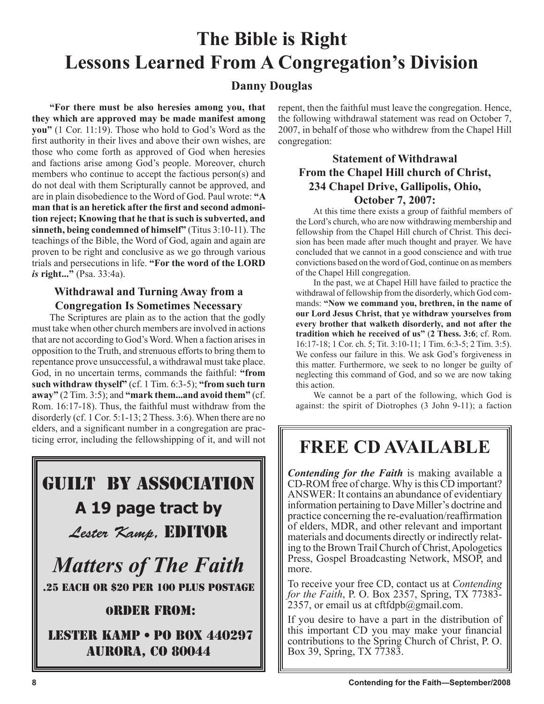# **The Bible is Right Lessons Learned From A Congregation's Division**

### **Danny Douglas**

**"For there must be also heresies among you, that they which are approved may be made manifest among you"** (1 Cor. 11:19). Those who hold to God's Word as the first authority in their lives and above their own wishes, are those who come forth as approved of God when heresies and factions arise among God's people. Moreover, church members who continue to accept the factious person(s) and do not deal with them Scripturally cannot be approved, and are in plain disobedience to the Word of God. Paul wrote: **"A man that is an heretick after the first and second admonition reject; Knowing that he that is such is subverted, and sinneth, being condemned of himself"** (Titus 3:10-11). The teachings of the Bible, the Word of God, again and again are proven to be right and conclusive as we go through various trials and persecutions in life. **"For the word of the LORD**  *is* **right..."** (Psa. 33:4a).

### **Withdrawal and Turning Away from a Congregation Is Sometimes Necessary**

The Scriptures are plain as to the action that the godly must take when other church members are involved in actions that are not according to God's Word. When a faction arises in opposition to the Truth, and strenuous efforts to bring them to repentance prove unsuccessful, a withdrawal must take place. God, in no uncertain terms, commands the faithful: **"from such withdraw thyself"** (cf. 1 Tim. 6:3-5); **"from such turn away"** (2 Tim. 3:5); and **"mark them...and avoid them"** (cf. Rom. 16:17-18). Thus, the faithful must withdraw from the disorderly (cf. 1 Cor. 5:1-13; 2 Thess. 3:6). When there are no elders, and a significant number in a congregation are practicing error, including the fellowshipping of it, and will not

# Guilt By Association **A 19 page tract by**  Lester Kamp, EDITOR

*Matters of The Faith* .25 EACH OR \$20 PER 100 PLUS POSTAGE

## Order from:

 Lester Kamp • PO Box 440297 aurora, co 80044

repent, then the faithful must leave the congregation. Hence, the following withdrawal statement was read on October 7, 2007, in behalf of those who withdrew from the Chapel Hill congregation:

### **Statement of Withdrawal From the Chapel Hill church of Christ, 234 Chapel Drive, Gallipolis, Ohio, October 7, 2007:**

At this time there exists a group of faithful members of the Lord's church, who are now withdrawing membership and fellowship from the Chapel Hill church of Christ. This decision has been made after much thought and prayer. We have concluded that we cannot in a good conscience and with true convictions based on the word of God, continue on as members of the Chapel Hill congregation.

In the past, we at Chapel Hill have failed to practice the withdrawal of fellowship from the disorderly, which God commands: **"Now we command you, brethren, in the name of our Lord Jesus Christ, that ye withdraw yourselves from every brother that walketh disorderly, and not after the tradition which he received of us"** (**2 Thess. 3:6**; cf. Rom. 16:17-18; 1 Cor. ch. 5; Tit. 3:10-11; 1 Tim. 6:3-5; 2 Tim. 3:5). We confess our failure in this. We ask God's forgiveness in this matter. Furthermore, we seek to no longer be guilty of neglecting this command of God, and so we are now taking this action.

We cannot be a part of the following, which God is against: the spirit of Diotrophes (3 John 9-11); a faction

# **FREE CD AVAILABLE**

*Contending for the Faith* is making available a CD-ROM free of charge. Why is this CD important? ANSWER: It contains an abundance of evidentiary information pertaining to Dave Miller's doctrine and practice concerning the re-evaluation/reaffirmation of elders, MDR, and other relevant and important materials and documents directly or indirectly relating to the Brown Trail Church of Christ, Apologetics Press, Gospel Broadcasting Network, MSOP, and more.

To receive your free CD, contact us at *Contending for the Faith*, P. O. Box 2357, Spring, TX 77383- 2357, or email us at cftfdpb $@g$ gmail.com.

If you desire to have a part in the distribution of this important CD you may make your financial contributions to the Spring Church of Christ, P. O. Box 39, Spring, TX 77383.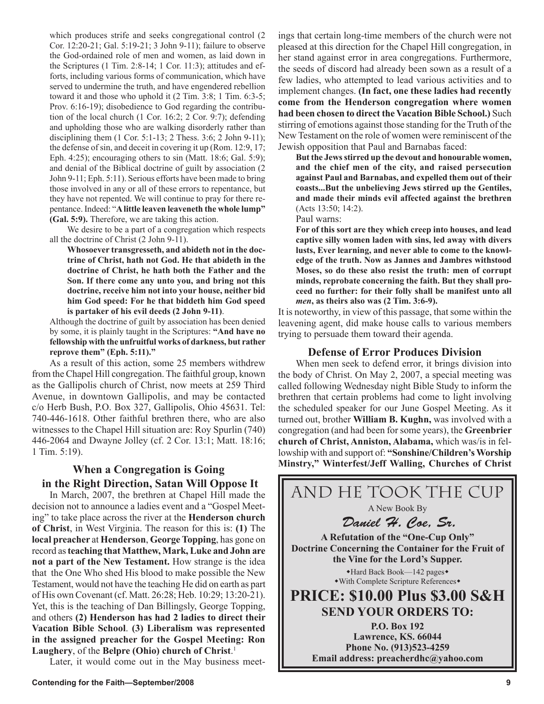which produces strife and seeks congregational control (2 Cor. 12:20-21; Gal. 5:19-21; 3 John 9-11); failure to observe the God-ordained role of men and women, as laid down in the Scriptures (1 Tim. 2:8-14; 1 Cor. 11:3); attitudes and efforts, including various forms of communication, which have served to undermine the truth, and have engendered rebellion toward it and those who uphold it (2 Tim. 3:8; 1 Tim. 6:3-5; Prov. 6:16-19); disobedience to God regarding the contribution of the local church (1 Cor. 16:2; 2 Cor. 9:7); defending and upholding those who are walking disorderly rather than disciplining them  $(1 \text{ Cor. } 5:1-13; 2 \text{ Thess. } 3:6; 2 \text{ John } 9-11);$ the defense of sin, and deceit in covering it up (Rom. 12:9, 17; Eph. 4:25); encouraging others to sin (Matt. 18:6; Gal. 5:9); and denial of the Biblical doctrine of guilt by association (2 John 9-11; Eph. 5:11). Serious efforts have been made to bring those involved in any or all of these errors to repentance, but they have not repented. We will continue to pray for there repentance. Indeed: "**A little leaven leaveneth the whole lump" (Gal. 5:9).** Therefore, we are taking this action.

We desire to be a part of a congregation which respects all the doctrine of Christ (2 John 9-11).

**Whosoever transgresseth, and abideth not in the doctrine of Christ, hath not God. He that abideth in the doctrine of Christ, he hath both the Father and the Son. If there come any unto you, and bring not this doctrine, receive him not into your house, neither bid him God speed: For he that biddeth him God speed is partaker of his evil deeds (2 John 9-11)**.

Although the doctrine of guilt by association has been denied by some, it is plainly taught in the Scriptures: **"And have no fellowship with the unfruitful works of darkness, but rather reprove them" (Eph. 5:11)."**

As a result of this action, some 25 members withdrew from the Chapel Hill congregation. The faithful group, known as the Gallipolis church of Christ, now meets at 259 Third Avenue, in downtown Gallipolis, and may be contacted c/o Herb Bush, P.O. Box 327, Gallipolis, Ohio 45631. Tel: 740-446-1618. Other faithful brethren there, who are also witnesses to the Chapel Hill situation are: Roy Spurlin (740) 446-2064 and Dwayne Jolley (cf. 2 Cor. 13:1; Matt. 18:16; 1 Tim. 5:19).

### **When a Congregation is Going in the Right Direction, Satan Will Oppose It**

In March, 2007, the brethren at Chapel Hill made the decision not to announce a ladies event and a "Gospel Meeting" to take place across the river at the **Henderson church of Christ**, in West Virginia. The reason for this is: **(1)** The **local preacher** at **Henderson**, **George Topping**, has gone on record as **teaching that Matthew, Mark, Luke and John are not a part of the New Testament.** How strange is the idea that the One Who shed His blood to make possible the New Testament, would not have the teaching He did on earth as part of His own Covenant (cf. Matt. 26:28; Heb. 10:29; 13:20-21). Yet, this is the teaching of Dan Billingsly, George Topping, and others **(2) Henderson has had 2 ladies to direct their Vacation Bible School**. **(3) Liberalism was represented in the assigned preacher for the Gospel Meeting: Ron Laughery**, of the **Belpre (Ohio) church of Christ**. 1

Later, it would come out in the May business meet-

ings that certain long-time members of the church were not pleased at this direction for the Chapel Hill congregation, in her stand against error in area congregations. Furthermore, the seeds of discord had already been sown as a result of a few ladies, who attempted to lead various activities and to implement changes. **(In fact, one these ladies had recently come from the Henderson congregation where women had been chosen to direct the Vacation Bible School.)** Such stirring of emotions against those standing for the Truth of the New Testament on the role of women were reminiscent of the Jewish opposition that Paul and Barnabas faced:

**But the Jews stirred up the devout and honourable women, and the chief men of the city, and raised persecution against Paul and Barnabas, and expelled them out of their coasts...But the unbelieving Jews stirred up the Gentiles, and made their minds evil affected against the brethren** (Acts 13:50; 14:2).

Paul warns:

**For of this sort are they which creep into houses, and lead captive silly women laden with sins, led away with divers lusts, Ever learning, and never able to come to the knowledge of the truth. Now as Jannes and Jambres withstood Moses, so do these also resist the truth: men of corrupt minds, reprobate concerning the faith. But they shall proceed no further: for their folly shall be manifest unto all**  *men***, as theirs also was (2 Tim. 3:6-9).** 

It is noteworthy, in view of this passage, that some within the leavening agent, did make house calls to various members trying to persuade them toward their agenda.

#### **Defense of Error Produces Division**

When men seek to defend error, it brings division into the body of Christ. On May 2, 2007, a special meeting was called following Wednesday night Bible Study to inform the brethren that certain problems had come to light involving the scheduled speaker for our June Gospel Meeting. As it turned out, brother **William B. Kughn,** was involved with a congregation (and had been for some years), the **Greenbrier church of Christ, Anniston, Alabama,** which was/is in fellowship with and support of: **"Sonshine/Children's Worship Minstry," Winterfest/Jeff Walling, Churches of Christ** 

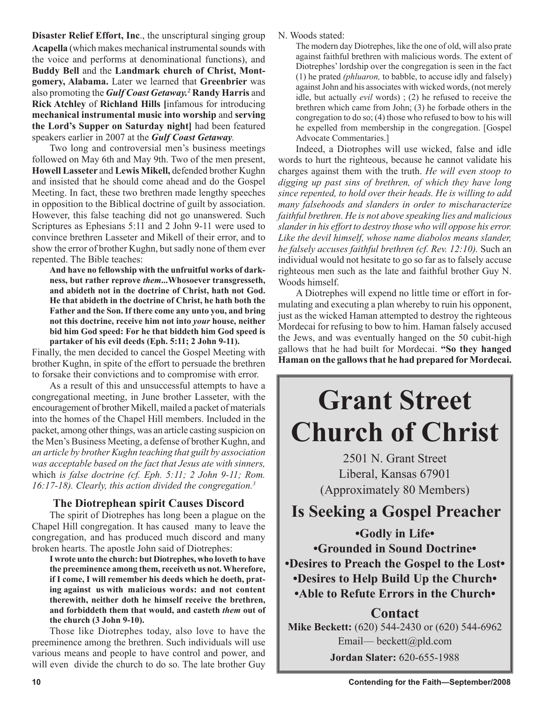**Disaster Relief Effort, Inc**., the unscriptural singing group **Acapella** (which makes mechanical instrumental sounds with the voice and performs at denominational functions), and **Buddy Bell** and the **Landmark church of Christ, Montgomery, Alabama.** Later we learned that **Greenbrier** was also promoting the *Gulf Coast Getaway.2* **Randy Harris** and **Rick Atchley** of **Richland Hills [**infamous for introducing **mechanical instrumental music into worship** and **serving the Lord's Supper on Saturday night]** had been featured speakers earlier in 2007 at the *Gulf Coast Getaway.*

Two long and controversial men's business meetings followed on May 6th and May 9th. Two of the men present, **Howell Lasseter** and **Lewis Mikell,** defended brother Kughn and insisted that he should come ahead and do the Gospel Meeting. In fact, these two brethren made lengthy speeches in opposition to the Biblical doctrine of guilt by association. However, this false teaching did not go unanswered. Such Scriptures as Ephesians 5:11 and 2 John 9-11 were used to convince brethren Lasseter and Mikell of their error, and to show the error of brother Kughn, but sadly none of them ever repented. The Bible teaches:

**And have no fellowship with the unfruitful works of darkness, but rather reprove** *them***...Whosoever transgresseth, and abideth not in the doctrine of Christ, hath not God. He that abideth in the doctrine of Christ, he hath both the Father and the Son. If there come any unto you, and bring not this doctrine, receive him not into** *your* **house, neither bid him God speed: For he that biddeth him God speed is partaker of his evil deeds (Eph. 5:11; 2 John 9-11).**

Finally, the men decided to cancel the Gospel Meeting with brother Kughn, in spite of the effort to persuade the brethren to forsake their convictions and to compromise with error.

As a result of this and unsuccessful attempts to have a congregational meeting, in June brother Lasseter, with the encouragement of brother Mikell, mailed a packet of materials into the homes of the Chapel Hill members. Included in the packet, among other things, was an article casting suspicion on the Men's Business Meeting, a defense of brother Kughn, and *an article by brother Kughn teaching that guilt by association was acceptable based on the fact that Jesus ate with sinners,* which *is false doctrine (cf. Eph. 5:11; 2 John 9-11; Rom. 16:17-18). Clearly, this action divided the congregation.3*

### **The Diotrephean spirit Causes Discord**

The spirit of Diotrephes has long been a plague on the Chapel Hill congregation. It has caused many to leave the congregation, and has produced much discord and many broken hearts. The apostle John said of Diotrephes:

**I wrote unto the church: but Diotrephes, who loveth to have the preeminence among them, receiveth us not. Wherefore, if I come, I will remember his deeds which he doeth, prating against us with malicious words: and not content therewith, neither doth he himself receive the brethren, and forbiddeth them that would, and casteth** *them* **out of the church (3 John 9-10).**

Those like Diotrephes today, also love to have the preeminence among the brethren. Such individuals will use various means and people to have control and power, and will even divide the church to do so. The late brother Guy N. Woods stated:

The modern day Diotrephes, like the one of old, will also prate against faithful brethren with malicious words. The extent of Diotrephes' lordship over the congregation is seen in the fact (1) he prated *(phluaron,* to babble, to accuse idly and falsely) against John and his associates with wicked words, (not merely idle, but actually *evil* words) ; (2) he refused to receive the brethren which came from John; (3) he forbade others in the congregation to do so; (4) those who refused to bow to his will he expelled from membership in the congregation. [Gospel Advocate Commentaries.]

Indeed, a Diotrophes will use wicked, false and idle words to hurt the righteous, because he cannot validate his charges against them with the truth. *He will even stoop to digging up past sins of brethren, of which they have long since repented, to hold over their heads. He is willing to add many falsehoods and slanders in order to mischaracterize faithful brethren. He is not above speaking lies and malicious slander in his effort to destroy those who will oppose his error. Like the devil himself, whose name diabolos means slander, he falsely accuses faithful brethren (cf. Rev. 12:10).* Such an individual would not hesitate to go so far as to falsely accuse righteous men such as the late and faithful brother Guy N. Woods himself.

A Diotrephes will expend no little time or effort in formulating and executing a plan whereby to ruin his opponent, just as the wicked Haman attempted to destroy the righteous Mordecai for refusing to bow to him. Haman falsely accused the Jews, and was eventually hanged on the 50 cubit-high gallows that he had built for Mordecai. **"So they hanged Haman on the gallows that he had prepared for Mordecai.** 

# **Grant Street Church of Christ**

2501 N. Grant Street Liberal, Kansas 67901 (Approximately 80 Members)

# **Is Seeking a Gospel Preacher**

**•Godly in Life• •Grounded in Sound Doctrine• •Desires to Preach the Gospel to the Lost• •Desires to Help Build Up the Church• •Able to Refute Errors in the Church•**

## **Contact Mike Beckett:** (620) 544-2430 or (620) 544-6962 Email— beckett@pld.com **Jordan Slater:** 620-655-1988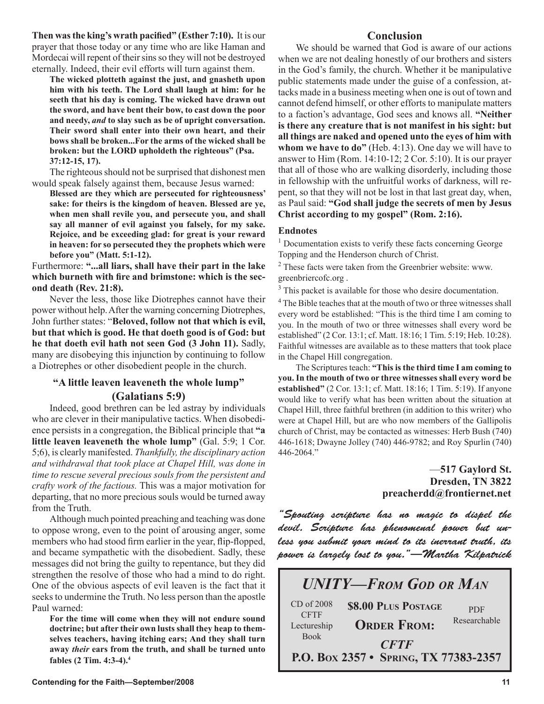**Then was the king's wrath pacified" (Esther 7:10).** It is our prayer that those today or any time who are like Haman and Mordecai will repent of their sins so they will not be destroyed eternally. Indeed, their evil efforts will turn against them.

**The wicked plotteth against the just, and gnasheth upon him with his teeth. The Lord shall laugh at him: for he seeth that his day is coming. The wicked have drawn out the sword, and have bent their bow, to cast down the poor and needy,** *and* **to slay such as be of upright conversation. Their sword shall enter into their own heart, and their bows shall be broken...For the arms of the wicked shall be broken: but the LORD upholdeth the righteous" (Psa. 37:12-15, 17).** 

The righteous should not be surprised that dishonest men would speak falsely against them, because Jesus warned:

**Blessed are they which are persecuted for righteousness' sake: for theirs is the kingdom of heaven. Blessed are ye, when men shall revile you, and persecute you, and shall say all manner of evil against you falsely, for my sake. Rejoice, and be exceeding glad: for great is your reward in heaven: for so persecuted they the prophets which were before you" (Matt. 5:1-12).**

Furthermore: **"...all liars, shall have their part in the lake which burneth with fire and brimstone: which is the second death (Rev. 21:8).**

Never the less, those like Diotrephes cannot have their power without help. After the warning concerning Diotrephes, John further states: "**Beloved, follow not that which is evil, but that which is good. He that doeth good is of God: but he that doeth evil hath not seen God (3 John 11).** Sadly, many are disobeying this injunction by continuing to follow a Diotrephes or other disobedient people in the church.

### **"A little leaven leaveneth the whole lump" (Galatians 5:9)**

Indeed, good brethren can be led astray by individuals who are clever in their manipulative tactics. When disobedience persists in a congregation, the Biblical principle that **"a little leaven leaveneth the whole lump"** (Gal. 5:9; 1 Cor. 5;6), is clearly manifested. *Thankfully, the disciplinary action and withdrawal that took place at Chapel Hill, was done in time to rescue several precious souls from the persistent and crafty work of the factious.* This was a major motivation for departing, that no more precious souls would be turned away from the Truth.

Although much pointed preaching and teaching was done to oppose wrong, even to the point of arousing anger, some members who had stood firm earlier in the year, flip-flopped, and became sympathetic with the disobedient. Sadly, these messages did not bring the guilty to repentance, but they did strengthen the resolve of those who had a mind to do right. One of the obvious aspects of evil leaven is the fact that it seeks to undermine the Truth. No less person than the apostle Paul warned:

**For the time will come when they will not endure sound doctrine; but after their own lusts shall they heap to themselves teachers, having itching ears; And they shall turn away** *their* **ears from the truth, and shall be turned unto fables (2 Tim. 4:3-4).4**

We should be warned that God is aware of our actions when we are not dealing honestly of our brothers and sisters in the God's family, the church. Whether it be manipulative public statements made under the guise of a confession, attacks made in a business meeting when one is out of town and cannot defend himself, or other efforts to manipulate matters to a faction's advantage, God sees and knows all. **"Neither is there any creature that is not manifest in his sight: but all things are naked and opened unto the eyes of him with whom we have to do"** (Heb. 4:13). One day we will have to answer to Him (Rom. 14:10-12; 2 Cor. 5:10). It is our prayer that all of those who are walking disorderly, including those in fellowship with the unfruitful works of darkness, will repent, so that they will not be lost in that last great day, when, as Paul said: **"God shall judge the secrets of men by Jesus Christ according to my gospel" (Rom. 2:16).** 

#### **Endnotes**

<sup>1</sup> Documentation exists to verify these facts concerning George Topping and the Henderson church of Christ.

<sup>2</sup> These facts were taken from the Greenbrier website: www. greenbriercofc.org .

<sup>3</sup> This packet is available for those who desire documentation.

<sup>4</sup> The Bible teaches that at the mouth of two or three witnesses shall every word be established: "This is the third time I am coming to you. In the mouth of two or three witnesses shall every word be established" (2 Cor. 13:1; cf. Matt. 18:16; 1 Tim. 5:19; Heb. 10:28). Faithful witnesses are available as to these matters that took place in the Chapel Hill congregation.

The Scriptures teach: **"This is the third time I am coming to you. In the mouth of two or three witnesses shall every word be established"** (2 Cor. 13:1; cf. Matt. 18:16; 1 Tim. 5:19). If anyone would like to verify what has been written about the situation at Chapel Hill, three faithful brethren (in addition to this writer) who were at Chapel Hill, but are who now members of the Gallipolis church of Christ, may be contacted as witnesses: Herb Bush (740) 446-1618; Dwayne Jolley (740) 446-9782; and Roy Spurlin (740) 446-2064."

#### —**517 Gaylord St. Dresden, TN 3822 preacherdd@frontiernet.net**

"Spouting scripture has no magic to dispel the devil. Scripture has phenomenal power but unless you submit your mind to its inerrant truth, its power is largely lost to you."—Martha Kilpatrick

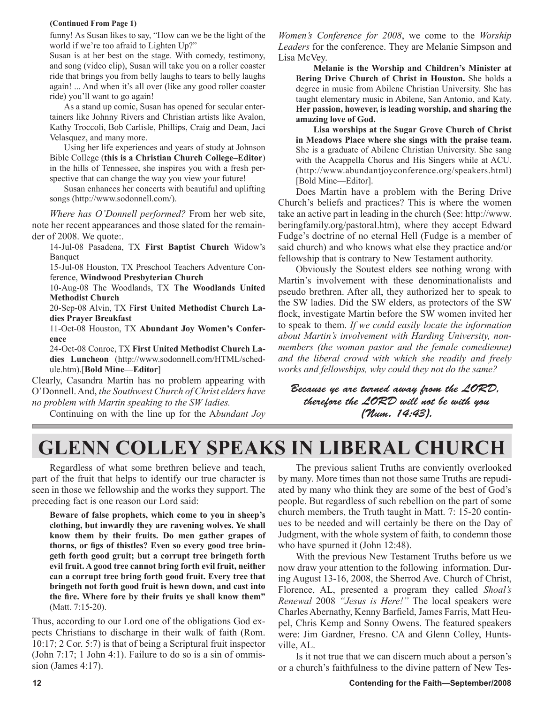#### **(Continued From Page 1)**

funny! As Susan likes to say, "How can we be the light of the world if we're too afraid to Lighten Up?"

Susan is at her best on the stage. With comedy, testimony, and song (video clip), Susan will take you on a roller coaster ride that brings you from belly laughs to tears to belly laughs again! ... And when it's all over (like any good roller coaster ride) you'll want to go again!

 As a stand up comic, Susan has opened for secular entertainers like Johnny Rivers and Christian artists like Avalon, Kathy Troccoli, Bob Carlisle, Phillips, Craig and Dean, Jaci Velasquez, and many more.

 Using her life experiences and years of study at Johnson Bible College (**this is a Christian Church College–Editor**) in the hills of Tennessee, she inspires you with a fresh perspective that can change the way you view your future!

 Susan enhances her concerts with beautiful and uplifting songs (http://www.sodonnell.com/).

*Where has O'Donnell performed?* From her web site, note her recent appearances and those slated for the remainder of 2008. We quote:.

14-Jul-08 Pasadena, TX **First Baptist Church** Widow's Banquet

15-Jul-08 Houston, TX Preschool Teachers Adventure Conference, **Windwood Presbyterian Church** 

10-Aug-08 The Woodlands, TX **The Woodlands United Methodist Church**

20-Sep-08 Alvin, TX F**irst United Methodist Church Ladies Prayer Breakfast**

11-Oct-08 Houston, TX **Abundant Joy Women's Conference** 

24-Oct-08 Conroe, TX **First United Methodist Church Ladies Luncheon** (http://www.sodonnell.com/HTML/schedule.htm).[**Bold Mine—Editor**]

Clearly, Casandra Martin has no problem appearing with O'Donnell. And, *the Southwest Church of Christ elders have no problem with Martin speaking to the SW ladies.*

Continuing on with the line up for the A*bundant Joy* 

*Women's Conference for 2008*, we come to the *Worship Leaders* for the conference. They are Melanie Simpson and Lisa McVey.

**Melanie is the Worship and Children's Minister at Bering Drive Church of Christ in Houston.** She holds a degree in music from Abilene Christian University. She has taught elementary music in Abilene, San Antonio, and Katy. **Her passion, however, is leading worship, and sharing the amazing love of God.** 

**Lisa worships at the Sugar Grove Church of Christ in Meadows Place where she sings with the praise team.**  She is a graduate of Abilene Christian University. She sang with the Acappella Chorus and His Singers while at ACU. (http://www.abundantjoyconference.org/speakers.html) [Bold Mine—Editor].

Does Martin have a problem with the Bering Drive Church's beliefs and practices? This is where the women take an active part in leading in the church (See: http://www. beringfamily.org/pastoral.htm), where they accept Edward Fudge's doctrine of no eternal Hell (Fudge is a member of said church) and who knows what else they practice and/or fellowship that is contrary to New Testament authority.

Obviously the Soutest elders see nothing wrong with Martin's involvement with these denominationalists and pseudo brethren. After all, they authorized her to speak to the SW ladies. Did the SW elders, as protectors of the SW flock, investigate Martin before the SW women invited her to speak to them. *If we could easily locate the information about Martin's involvement with Harding University, nonmembers (the woman pastor and the female comedienne) and the liberal crowd with which she readily and freely works and fellowships, why could they not do the same?*

Because ye are turned away from the LORD, therefore the LORD will not be with you (Num. 14:43).

# **GLENN COLLEY SPEAKS IN LIBERAL CHURCH**

Regardless of what some brethren believe and teach, part of the fruit that helps to identify our true character is seen in those we fellowship and the works they support. The preceding fact is one reason our Lord said:

**Beware of false prophets, which come to you in sheep's clothing, but inwardly they are ravening wolves. Ye shall know them by their fruits. Do men gather grapes of thorns, or figs of thistles? Even so every good tree bringeth forth good gruit; but a corrupt tree bringeth forth evil fruit. A good tree cannot bring forth evil fruit, neither can a corrupt tree bring forth good fruit. Every tree that bringeth not forth good fruit is hewn down, and cast into the fire. Where fore by their fruits ye shall know them"**  (Matt. 7:15-20).

Thus, according to our Lord one of the obligations God expects Christians to discharge in their walk of faith (Rom. 10:17; 2 Cor. 5:7) is that of being a Scriptural fruit inspector (John 7:17; 1 John 4:1). Failure to do so is a sin of ommission (James 4:17).

The previous salient Truths are conviently overlooked by many. More times than not those same Truths are repudiated by many who think they are some of the best of God's people. But regardless of such rebellion on the part of some church members, the Truth taught in Matt. 7: 15-20 continues to be needed and will certainly be there on the Day of Judgment, with the whole system of faith, to condemn those who have spurned it (John 12:48).

With the previous New Testament Truths before us we now draw your attention to the following information. During August 13-16, 2008, the Sherrod Ave. Church of Christ, Florence, AL, presented a program they called *Shoal's Renewal* 2008 *"Jesus is Here!"* The local speakers were Charles Abernathy, Kenny Barfield, James Farris, Matt Heupel, Chris Kemp and Sonny Owens. The featured speakers were: Jim Gardner, Fresno. CA and Glenn Colley, Huntsville, AL.

Is it not true that we can discern much about a person's or a church's faithfulness to the divine pattern of New Tes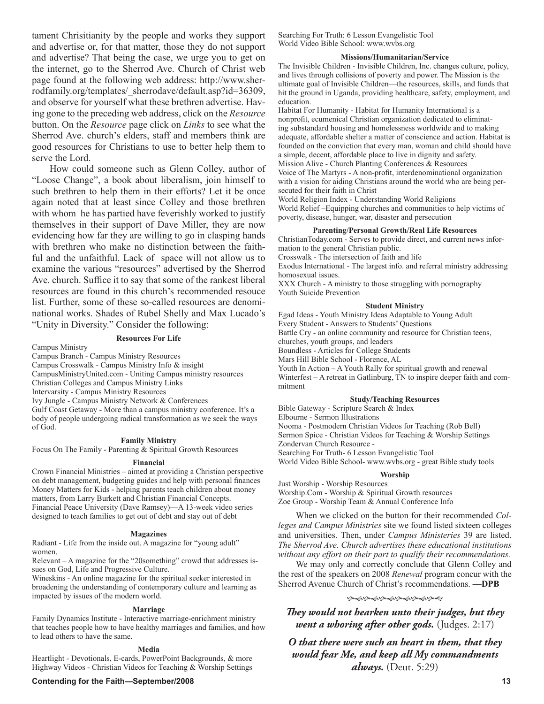tament Chrisitianity by the people and works they support and advertise or, for that matter, those they do not support and advertise? That being the case, we urge you to get on the internet, go to the Sherrod Ave. Church of Christ web page found at the following web address: http://www.sherrodfamily.org/templates/\_sherrodave/default.asp?id=36309, and observe for yourself what these brethren advertise. Having gone to the preceding web address, click on the *Resource* button. On the *Resource* page click on *Links* to see what the Sherrod Ave. church's elders, staff and members think are good resources for Christians to use to better help them to serve the Lord.

How could someone such as Glenn Colley, author of "Loose Change", a book about liberalism, join himself to such brethren to help them in their efforts? Let it be once again noted that at least since Colley and those brethren with whom he has partied have feverishly worked to justify themselves in their support of Dave Miller, they are now evidencing how far they are willing to go in clasping hands with brethren who make no distinction between the faithful and the unfaithful. Lack of space will not allow us to examine the various "resources" advertised by the Sherrod Ave. church. Suffice it to say that some of the rankest liberal resources are found in this church's recommended resouce list. Further, some of these so-called resources are denominational works. Shades of Rubel Shelly and Max Lucado's "Unity in Diversity." Consider the following:

#### **Resources For Life**

Campus Ministry

Campus Branch - Campus Ministry Resources

Campus Crosswalk - Campus Ministry Info & insight

CampusMinistryUnited.com - Uniting Campus ministry resources

Christian Colleges and Campus Ministry Links

Intervarsity - Campus Ministry Resources

Ivy Jungle - Campus Ministry Network & Conferences

Gulf Coast Getaway - More than a campus ministry conference. It's a body of people undergoing radical transformation as we seek the ways of God.

#### **Family Ministry**

Focus On The Family - Parenting & Spiritual Growth Resources

#### **Financial**

Crown Financial Ministries – aimed at providing a Christian perspective on debt management, budgeting guides and help with personal finances Money Matters for Kids - helping parents teach children about money matters, from Larry Burkett and Christian Financial Concepts. Financial Peace University (Dave Ramsey)—A 13-week video series designed to teach families to get out of debt and stay out of debt

#### **Magazines**

Radiant - Life from the inside out. A magazine for "young adult" women.

Relevant – A magazine for the "20something" crowd that addresses issues on God, Life and Progressive Culture.

Wineskins - An online magazine for the spiritual seeker interested in broadening the understanding of contemporary culture and learning as impacted by issues of the modern world.

#### **Marriage**

Family Dynamics Institute - Interactive marriage-enrichment ministry that teaches people how to have healthy marriages and families, and how to lead others to have the same.

#### **Media**

Heartlight - Devotionals, E-cards, PowerPoint Backgrounds, & more Highway Videos - Christian Videos for Teaching & Worship Settings

**Contending for the Faith—September/2008 13** 

Searching For Truth: 6 Lesson Evangelistic Tool World Video Bible School: www.wvbs.org

#### **Missions/Humanitarian/Service**

The Invisible Children - Invisible Children, Inc. changes culture, policy, and lives through collisions of poverty and power. The Mission is the ultimate goal of Invisible Children—the resources, skills, and funds that hit the ground in Uganda, providing healthcare, safety, employment, and education.

Habitat For Humanity - Habitat for Humanity International is a nonprofit, ecumenical Christian organization dedicated to eliminating substandard housing and homelessness worldwide and to making adequate, affordable shelter a matter of conscience and action. Habitat is founded on the conviction that every man, woman and child should have a simple, decent, affordable place to live in dignity and safety.

Mission Alive - Church Planting Conferences & Resources Voice of The Martyrs - A non-profit, interdenominational organization with a vision for aiding Christians around the world who are being persecuted for their faith in Christ

World Religion Index - Understanding World Religions

World Relief –Equipping churches and communities to help victims of poverty, disease, hunger, war, disaster and persecution

#### **Parenting/Personal Growth/Real Life Resources**

ChristianToday.com - Serves to provide direct, and current news information to the general Christian public.

Crosswalk - The intersection of faith and life

Exodus International - The largest info. and referral ministry addressing homosexual issues.

XXX Church - A ministry to those struggling with pornography Youth Suicide Prevention

#### **Student Ministry**

Egad Ideas - Youth Ministry Ideas Adaptable to Young Adult Every Student - Answers to Students' Questions Battle Cry - an online community and resource for Christian teens, churches, youth groups, and leaders

Boundless - Articles for College Students Mars Hill Bible School - Florence, AL

Youth In Action – A Youth Rally for spiritual growth and renewal

Winterfest – A retreat in Gatlinburg, TN to inspire deeper faith and commitment

#### **Study/Teaching Resources**

Bible Gateway - Scripture Search & Index Elbourne - Sermon Illustrations Nooma - Postmodern Christian Videos for Teaching (Rob Bell) Sermon Spice - Christian Videos for Teaching & Worship Settings Zondervan Church Resource - Searching For Truth- 6 Lesson Evangelistic Tool World Video Bible School- www.wvbs.org - great Bible study tools

#### **Worship**

Just Worship - Worship Resources Worship.Com - Worship & Spiritual Growth resources Zoe Group - Worship Team & Annual Conference Info

When we clicked on the button for their recommended *Colleges and Campus Ministries* site we found listed sixteen colleges and universities. Then, under *Campus Ministeries* 39 are listed. *The Sherrod Ave. Church advertises these educational institutions without any effort on their part to qualify their recommendations.*

We may only and correctly conclude that Glenn Colley and the rest of the speakers on 2008 *Renewal* program concur with the Sherrod Avenue Church of Christ's recommendations. **—DPB**

#### ড়৾ড়ড়ড়ড়ড়ড়ড়ড়ড়ড়

*They would not hearken unto their judges, but they went a whoring after other gods.* (Judges. 2:17)

*O that there were such an heart in them, that they would fear Me, and keep all My commandments always.* (Deut. 5:29)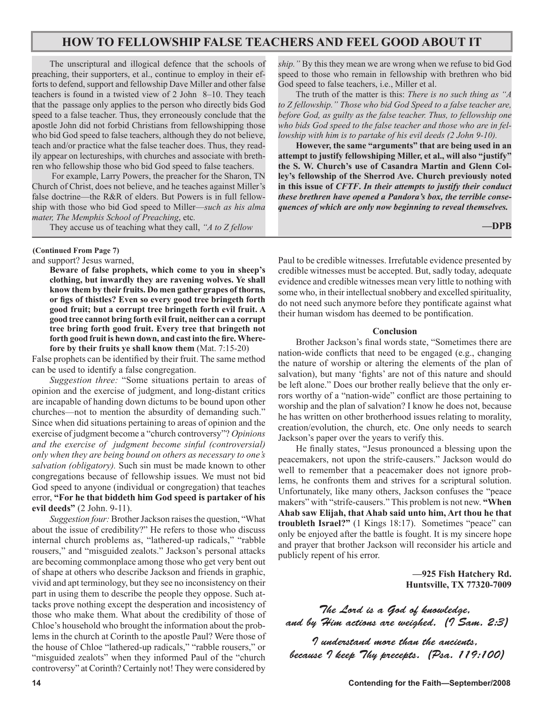### **HOW TO FELLOWSHIP FALSE TEACHERS AND FEEL GOOD ABOUT IT**

The unscriptural and illogical defence that the schools of preaching, their supporters, et al., continue to employ in their efforts to defend, support and fellowship Dave Miller and other false teachers is found in a twisted view of 2 John 8–10. They teach that the passage only applies to the person who directly bids God speed to a false teacher. Thus, they erroneously conclude that the apostle John did not forbid Christians from fellowshipping those who bid God speed to false teachers, although they do not believe, teach and/or practice what the false teacher does. Thus, they readily appear on lectureships, with churches and associate with brethren who fellowship those who bid God speed to false teachers.

 For example, Larry Powers, the preacher for the Sharon, TN Church of Christ, does not believe, and he teaches against Miller's false doctrine—the R&R of elders. But Powers is in full fellowship with those who bid God speed to Miller—*such as his alma mater, The Memphis School of Preaching*, etc*.*

They accuse us of teaching what they call, *"A to Z fellow*

**(Continued From Page 7)**

and support? Jesus warned,

**Beware of false prophets, which come to you in sheep's clothing, but inwardly they are ravening wolves. Ye shall know them by their fruits. Do men gather grapes of thorns, or figs of thistles? Even so every good tree bringeth forth good fruit; but a corrupt tree bringeth forth evil fruit. A good tree cannot bring forth evil fruit, neither can a corrupt tree bring forth good fruit. Every tree that bringeth not forth good fruit is hewn down, and cast into the fire. Wherefore by their fruits ye shall know them** (Mat. 7:15-20)

False prophets can be identified by their fruit. The same method can be used to identify a false congregation.

*Suggestion three:* "Some situations pertain to areas of opinion and the exercise of judgment, and long-distant critics are incapable of handing down dictums to be bound upon other churches—not to mention the absurdity of demanding such." Since when did situations pertaining to areas of opinion and the exercise of judgment become a "church controversy"? *Opinions and the exercise of judgment become sinful (controversial) only when they are being bound on others as necessary to one's salvation (obligatory).* Such sin must be made known to other congregations because of fellowship issues. We must not bid God speed to anyone (individual or congregation) that teaches error, **"For he that biddeth him God speed is partaker of his evil deeds"** (2 John. 9-11).

*Suggestion four:* Brother Jackson raises the question, "What about the issue of credibility?" He refers to those who discuss internal church problems as, "lathered-up radicals," "rabble rousers," and "misguided zealots." Jackson's personal attacks are becoming commonplace among those who get very bent out of shape at others who describe Jackson and friends in graphic, vivid and apt terminology, but they see no inconsistency on their part in using them to describe the people they oppose. Such attacks prove nothing except the desperation and incosistency of those who make them. What about the credibility of those of Chloe's household who brought the information about the problems in the church at Corinth to the apostle Paul? Were those of the house of Chloe "lathered-up radicals," "rabble rousers," or "misguided zealots" when they informed Paul of the "church controversy" at Corinth? Certainly not! They were considered by *ship."* By this they mean we are wrong when we refuse to bid God speed to those who remain in fellowship with brethren who bid God speed to false teachers, i.e., Miller et al.

The truth of the matter is this: *There is no such thing as "A to Z fellowship." Those who bid God Speed to a false teacher are, before God, as guilty as the false teacher. Thus, to fellowship one who bids God speed to the false teacher and those who are in fellowship with him is to partake of his evil deeds (2 John 9-10).*

**However, the same "arguments" that are being used in an attempt to justify fellowshiping Miller, et al., will also "justify" the S. W. Church's use of Casandra Martin and Glenn Colley's fellowship of the Sherrod Ave. Church previously noted in this issue of** *CFTF***.** *In their attempts to justify their conduct these brethren have opened a Pandora's box, the terrible consequences of which are only now beginning to reveal themselves.*

**—DPB** 

Paul to be credible witnesses. Irrefutable evidence presented by credible witnesses must be accepted. But, sadly today, adequate evidence and credible witnesses mean very little to nothing with some who, in their intellectual snobbery and excelled spirituality, do not need such anymore before they pontificate against what their human wisdom has deemed to be pontification.

#### **Conclusion**

Brother Jackson's final words state, "Sometimes there are nation-wide conflicts that need to be engaged (e.g., changing the nature of worship or altering the elements of the plan of salvation), but many 'fights' are not of this nature and should be left alone." Does our brother really believe that the only errors worthy of a "nation-wide" conflict are those pertaining to worship and the plan of salvation? I know he does not, because he has written on other brotherhood issues relating to morality, creation/evolution, the church, etc. One only needs to search Jackson's paper over the years to verify this.

He finally states, "Jesus pronounced a blessing upon the peacemakers, not upon the strife-causers." Jackson would do well to remember that a peacemaker does not ignore problems, he confronts them and strives for a scriptural solution. Unfortunately, like many others, Jackson confuses the "peace makers" with "strife-causers." This problem is not new. **"When Ahab saw Elijah, that Ahab said unto him, Art thou he that troubleth Israel?"** (1 Kings 18:17). Sometimes "peace" can only be enjoyed after the battle is fought. It is my sincere hope and prayer that brother Jackson will reconsider his article and publicly repent of his error.

> **—925 Fish Hatchery Rd. Huntsville, TX 77320-7009**

The Lord is a God of knowledge, and by Him actions are weighed. (I Sam. 2:3)

I understand more than the ancients, because I keep Thy precepts. (Psa. 119:100)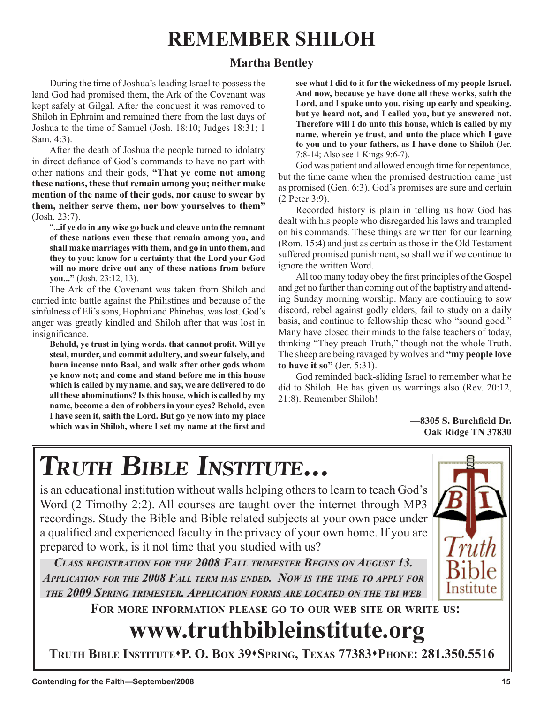# **REMEMBER SHILOH**

**Terry M. Hightower**

## **Martha Bentley**

During the time of Joshua's leading Israel to possess the land God had promised them, the Ark of the Covenant was kept safely at Gilgal. After the conquest it was removed to Shiloh in Ephraim and remained there from the last days of Joshua to the time of Samuel (Josh. 18:10; Judges 18:31; 1 Sam. 4:3).

After the death of Joshua the people turned to idolatry in direct defiance of God's commands to have no part with other nations and their gods, **"That ye come not among these nations, these that remain among you; neither make mention of the name of their gods, nor cause to swear by them, neither serve them, nor bow yourselves to them"** (Josh. 23:7).

"**...if ye do in any wise go back and cleave unto the remnant of these nations even these that remain among you, and shall make marriages with them, and go in unto them, and they to you: know for a certainty that the Lord your God will no more drive out any of these nations from before you..."** (Josh. 23:12, 13).

The Ark of the Covenant was taken from Shiloh and carried into battle against the Philistines and because of the sinfulness of Eli's sons, Hophni and Phinehas, was lost. God's anger was greatly kindled and Shiloh after that was lost in insignificance.

**Behold, ye trust in lying words, that cannot profit. Will ye steal, murder, and commit adultery, and swear falsely, and burn incense unto Baal, and walk after other gods whom ye know not; and come and stand before me in this house which is called by my name, and say, we are delivered to do all these abominations? Is this house, which is called by my name, become a den of robbers in your eyes? Behold, even I have seen it, saith the Lord. But go ye now into my place which was in Shiloh, where I set my name at the first and**  **see what I did to it for the wickedness of my people Israel. And now, because ye have done all these works, saith the Lord, and I spake unto you, rising up early and speaking, but ye heard not, and I called you, but ye answered not. Therefore will I do unto this house, which is called by my name, wherein ye trust, and unto the place which I gave to you and to your fathers, as I have done to Shiloh** (Jer. 7:8-14; Also see 1 Kings 9:6-7).

**Paul Vaughn**

God was patient and allowed enough time for repentance, but the time came when the promised destruction came just as promised (Gen. 6:3). God's promises are sure and certain (2 Peter 3:9).

Recorded history is plain in telling us how God has dealt with his people who disregarded his laws and trampled on his commands. These things are written for our learning (Rom. 15:4) and just as certain as those in the Old Testament suffered promised punishment, so shall we if we continue to ignore the written Word.

All too many today obey the first principles of the Gospel and get no farther than coming out of the baptistry and attending Sunday morning worship. Many are continuing to sow discord, rebel against godly elders, fail to study on a daily basis, and continue to fellowship those who "sound good." Many have closed their minds to the false teachers of today, thinking "They preach Truth," though not the whole Truth. The sheep are being ravaged by wolves and **"my people love to have it so"** (Jer. 5:31).

God reminded back-sliding Israel to remember what he did to Shiloh. He has given us warnings also (Rev. 20:12, 21:8). Remember Shiloh!

> **—8305 S. Burchfield Dr. Oak Ridge TN 37830**

# **TRUTH BIBLE INSTITUTE...**

is an educational institution without walls helping others to learn to teach God's Word (2 Timothy 2:2). All courses are taught over the internet through MP3 recordings. Study the Bible and Bible related subjects at your own pace under a qualified and experienced faculty in the privacy of your own home. If you are prepared to work, is it not time that you studied with us?

*CLASS REGISTRATION FOR THE 2008 FALL TRIMESTER BEGINS ON AUGUST 13. APPLICATION FOR THE 2008 FALL TERM HAS ENDED. NOW IS THE TIME TO APPLY FOR THE 2009 SPRING TRIMESTER. APPLICATION FORMS ARE LOCATED ON THE TBI WEB*

**FOR MORE INFORMATION PLEASE GO TO OUR WEB SITE OR WRITE US:**

# **www.truthbibleinstitute.org**

**TRUTH BIBLE INSTITUTEP. O. BOX 39SPRING, TEXAS 77383PHONE: 281.350.5516**